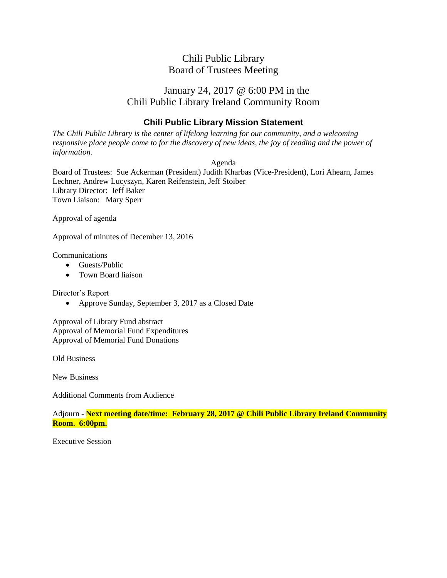# January 24, 2017 @ 6:00 PM in the Chili Public Library Ireland Community Room

### **Chili Public Library Mission Statement**

*The Chili Public Library is the center of lifelong learning for our community, and a welcoming responsive place people come to for the discovery of new ideas, the joy of reading and the power of information.*

Agenda

Board of Trustees: Sue Ackerman (President) Judith Kharbas (Vice-President), Lori Ahearn, James Lechner, Andrew Lucyszyn, Karen Reifenstein, Jeff Stoiber Library Director: Jeff Baker Town Liaison: Mary Sperr

Approval of agenda

Approval of minutes of December 13, 2016

Communications

- Guests/Public
- Town Board liaison

Director's Report

• Approve Sunday, September 3, 2017 as a Closed Date

Approval of Library Fund abstract Approval of Memorial Fund Expenditures Approval of Memorial Fund Donations

Old Business

New Business

Additional Comments from Audience

Adjourn - **Next meeting date/time: February 28, 2017 @ Chili Public Library Ireland Community Room. 6:00pm.**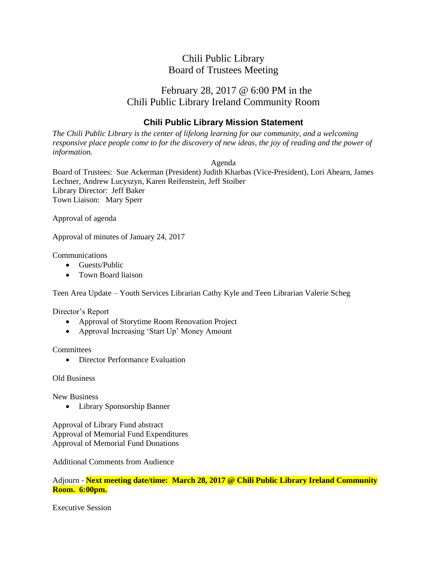# February 28, 2017 @ 6:00 PM in the Chili Public Library Ireland Community Room

### **Chili Public Library Mission Statement**

*The Chili Public Library is the center of lifelong learning for our community, and a welcoming responsive place people come to for the discovery of new ideas, the joy of reading and the power of information.*

Agenda

Board of Trustees: Sue Ackerman (President) Judith Kharbas (Vice-President), Lori Ahearn, James Lechner, Andrew Lucyszyn, Karen Reifenstein, Jeff Stoiber Library Director: Jeff Baker Town Liaison: Mary Sperr

Approval of agenda

Approval of minutes of January 24, 2017

Communications

- Guests/Public
- Town Board liaison

Teen Area Update – Youth Services Librarian Cathy Kyle and Teen Librarian Valerie Scheg

Director's Report

- Approval of Storytime Room Renovation Project
- Approval Increasing 'Start Up' Money Amount

**Committees** 

• Director Performance Evaluation

Old Business

New Business

• Library Sponsorship Banner

Approval of Library Fund abstract Approval of Memorial Fund Expenditures Approval of Memorial Fund Donations

Additional Comments from Audience

Adjourn - **Next meeting date/time: March 28, 2017 @ Chili Public Library Ireland Community Room. 6:00pm.**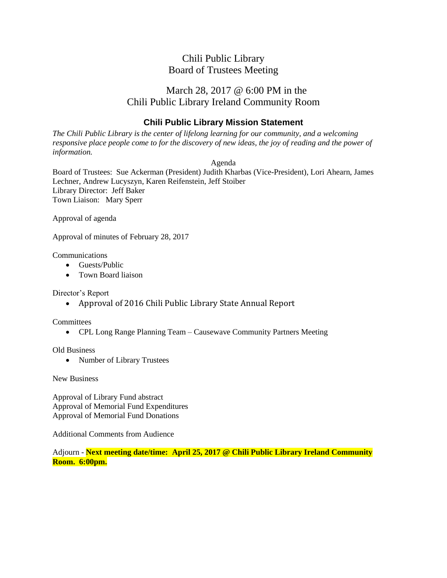# March 28, 2017 @ 6:00 PM in the Chili Public Library Ireland Community Room

### **Chili Public Library Mission Statement**

*The Chili Public Library is the center of lifelong learning for our community, and a welcoming responsive place people come to for the discovery of new ideas, the joy of reading and the power of information.*

Agenda

Board of Trustees: Sue Ackerman (President) Judith Kharbas (Vice-President), Lori Ahearn, James Lechner, Andrew Lucyszyn, Karen Reifenstein, Jeff Stoiber Library Director: Jeff Baker Town Liaison: Mary Sperr

Approval of agenda

Approval of minutes of February 28, 2017

Communications

- Guests/Public
- Town Board liaison

Director's Report

• Approval of 2016 Chili Public Library State Annual Report

**Committees** 

• CPL Long Range Planning Team – Causewave Community Partners Meeting

Old Business

• Number of Library Trustees

New Business

Approval of Library Fund abstract Approval of Memorial Fund Expenditures Approval of Memorial Fund Donations

Additional Comments from Audience

Adjourn - **Next meeting date/time: April 25, 2017 @ Chili Public Library Ireland Community Room. 6:00pm.**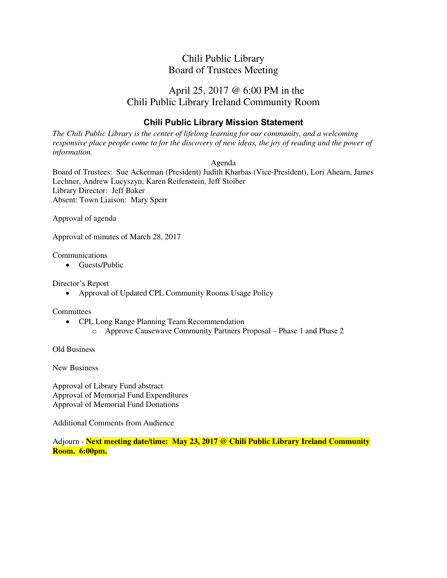# April 25, 2017 @ 6:00 PM in the Chili Public Library Ireland Community Room

### **Chili Public Library Mission Statement**

*The Chili Public Library is the center of lifelong learning for our community, and a welcoming responsive place people come to for the discovery of new ideas, the joy of reading and the power of information.* 

Agenda

Board of Trustees: Sue Ackerman (President) Judith Kharbas (Vice-President), Lori Ahearn, James Lechner, Andrew Lucyszyn, Karen Reifenstein, Jeff Stoiber Library Director: Jeff Baker Absent: Town Liaison: Mary Sperr

Approval of agenda

Approval of minutes of March 28, 2017

Communications

• Guests/Public

Director's Report

Approval of Updated CPL Community Rooms Usage Policy

**Committees** 

- CPL Long Range Planning Team Recommendation
	- o Approve Causewave Community Partners Proposal Phase 1 and Phase 2

Old Business

New Business

Approval of Library Fund abstract Approval of Memorial Fund Expenditures Approval of Memorial Fund Donations

Additional Comments from Audience

Adjourn - **Next meeting date/time: May 23, 2017 @ Chili Public Library Ireland Community Room. 6:00pm.**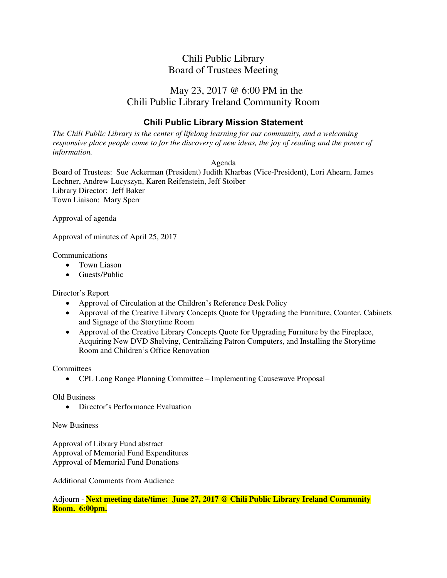# May 23, 2017 @ 6:00 PM in the Chili Public Library Ireland Community Room

### **Chili Public Library Mission Statement**

*The Chili Public Library is the center of lifelong learning for our community, and a welcoming responsive place people come to for the discovery of new ideas, the joy of reading and the power of information.* 

#### Agenda

Board of Trustees: Sue Ackerman (President) Judith Kharbas (Vice-President), Lori Ahearn, James Lechner, Andrew Lucyszyn, Karen Reifenstein, Jeff Stoiber Library Director: Jeff Baker Town Liaison: Mary Sperr

Approval of agenda

Approval of minutes of April 25, 2017

Communications

- Town Liason
- Guests/Public

Director's Report

- Approval of Circulation at the Children's Reference Desk Policy
- Approval of the Creative Library Concepts Quote for Upgrading the Furniture, Counter, Cabinets and Signage of the Storytime Room
- Approval of the Creative Library Concepts Quote for Upgrading Furniture by the Fireplace, Acquiring New DVD Shelving, Centralizing Patron Computers, and Installing the Storytime Room and Children's Office Renovation

**Committees** 

CPL Long Range Planning Committee – Implementing Causewave Proposal

Old Business

• Director's Performance Evaluation

New Business

Approval of Library Fund abstract Approval of Memorial Fund Expenditures Approval of Memorial Fund Donations

Additional Comments from Audience

Adjourn - **Next meeting date/time: June 27, 2017 @ Chili Public Library Ireland Community Room. 6:00pm.**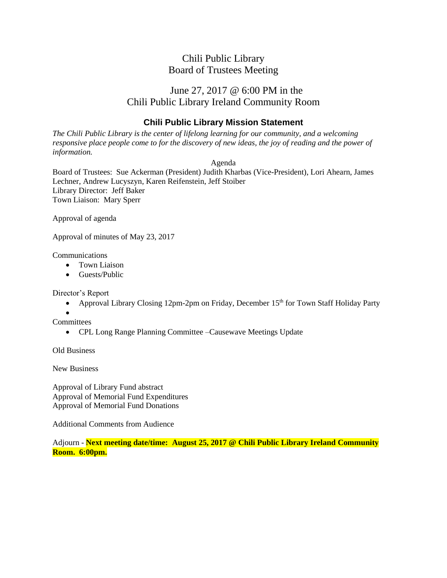# June 27, 2017 @ 6:00 PM in the Chili Public Library Ireland Community Room

### **Chili Public Library Mission Statement**

*The Chili Public Library is the center of lifelong learning for our community, and a welcoming responsive place people come to for the discovery of new ideas, the joy of reading and the power of information.*

Agenda

Board of Trustees: Sue Ackerman (President) Judith Kharbas (Vice-President), Lori Ahearn, James Lechner, Andrew Lucyszyn, Karen Reifenstein, Jeff Stoiber Library Director: Jeff Baker Town Liaison: Mary Sperr

Approval of agenda

Approval of minutes of May 23, 2017

Communications

- Town Liaison
- Guests/Public

Director's Report

• Approval Library Closing 12pm-2pm on Friday, December  $15<sup>th</sup>$  for Town Staff Holiday Party

 $\bullet$ **Committees** 

CPL Long Range Planning Committee –Causewave Meetings Update

Old Business

New Business

Approval of Library Fund abstract Approval of Memorial Fund Expenditures Approval of Memorial Fund Donations

Additional Comments from Audience

Adjourn - **Next meeting date/time: August 25, 2017 @ Chili Public Library Ireland Community Room. 6:00pm.**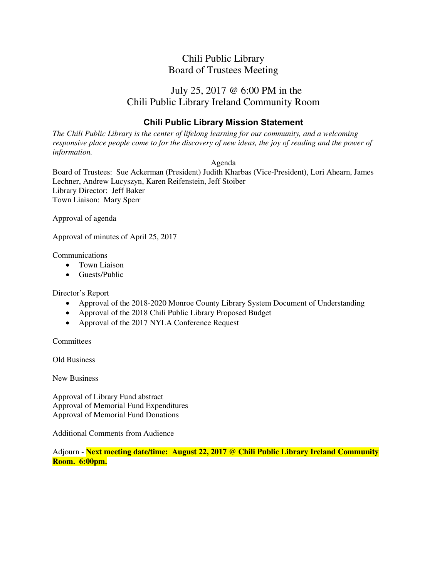# July 25, 2017 @ 6:00 PM in the Chili Public Library Ireland Community Room

### **Chili Public Library Mission Statement**

*The Chili Public Library is the center of lifelong learning for our community, and a welcoming responsive place people come to for the discovery of new ideas, the joy of reading and the power of information.* 

Agenda

Board of Trustees: Sue Ackerman (President) Judith Kharbas (Vice-President), Lori Ahearn, James Lechner, Andrew Lucyszyn, Karen Reifenstein, Jeff Stoiber Library Director: Jeff Baker Town Liaison: Mary Sperr

Approval of agenda

Approval of minutes of April 25, 2017

Communications

- Town Liaison
- Guests/Public

Director's Report

- Approval of the 2018-2020 Monroe County Library System Document of Understanding
- Approval of the 2018 Chili Public Library Proposed Budget
- Approval of the 2017 NYLA Conference Request

**Committees** 

Old Business

New Business

Approval of Library Fund abstract Approval of Memorial Fund Expenditures Approval of Memorial Fund Donations

Additional Comments from Audience

Adjourn - **Next meeting date/time: August 22, 2017 @ Chili Public Library Ireland Community Room. 6:00pm.**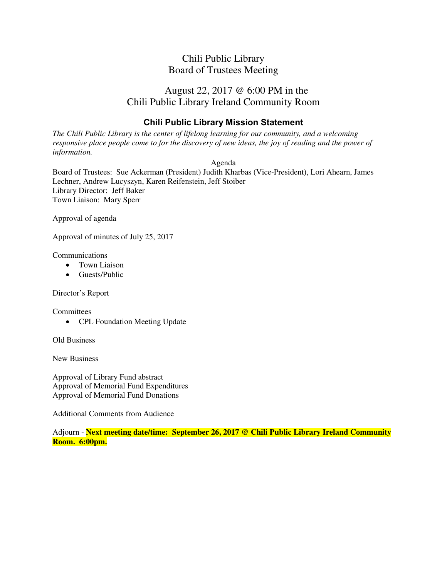# August 22, 2017 @ 6:00 PM in the Chili Public Library Ireland Community Room

### **Chili Public Library Mission Statement**

*The Chili Public Library is the center of lifelong learning for our community, and a welcoming responsive place people come to for the discovery of new ideas, the joy of reading and the power of information.* 

Agenda

Board of Trustees: Sue Ackerman (President) Judith Kharbas (Vice-President), Lori Ahearn, James Lechner, Andrew Lucyszyn, Karen Reifenstein, Jeff Stoiber Library Director: Jeff Baker Town Liaison: Mary Sperr

Approval of agenda

Approval of minutes of July 25, 2017

Communications

- Town Liaison
- Guests/Public

Director's Report

**Committees** 

• CPL Foundation Meeting Update

Old Business

New Business

Approval of Library Fund abstract Approval of Memorial Fund Expenditures Approval of Memorial Fund Donations

Additional Comments from Audience

Adjourn - **Next meeting date/time: September 26, 2017 @ Chili Public Library Ireland Community Room. 6:00pm.**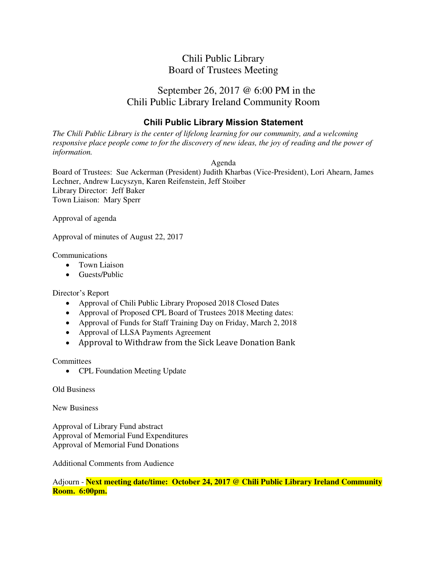# September 26, 2017 @ 6:00 PM in the Chili Public Library Ireland Community Room

### **Chili Public Library Mission Statement**

*The Chili Public Library is the center of lifelong learning for our community, and a welcoming responsive place people come to for the discovery of new ideas, the joy of reading and the power of information.* 

#### Agenda

Board of Trustees: Sue Ackerman (President) Judith Kharbas (Vice-President), Lori Ahearn, James Lechner, Andrew Lucyszyn, Karen Reifenstein, Jeff Stoiber Library Director: Jeff Baker Town Liaison: Mary Sperr

Approval of agenda

Approval of minutes of August 22, 2017

Communications

- Town Liaison
- Guests/Public

Director's Report

- Approval of Chili Public Library Proposed 2018 Closed Dates
- Approval of Proposed CPL Board of Trustees 2018 Meeting dates:
- Approval of Funds for Staff Training Day on Friday, March 2, 2018
- Approval of LLSA Payments Agreement
- Approval to Withdraw from the Sick Leave Donation Bank

**Committees** 

• CPL Foundation Meeting Update

Old Business

New Business

Approval of Library Fund abstract Approval of Memorial Fund Expenditures Approval of Memorial Fund Donations

Additional Comments from Audience

Adjourn - **Next meeting date/time: October 24, 2017 @ Chili Public Library Ireland Community Room. 6:00pm.**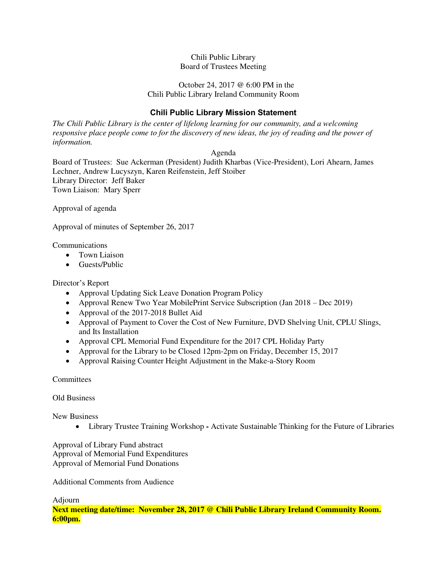#### October 24, 2017 @ 6:00 PM in the Chili Public Library Ireland Community Room

### **Chili Public Library Mission Statement**

*The Chili Public Library is the center of lifelong learning for our community, and a welcoming responsive place people come to for the discovery of new ideas, the joy of reading and the power of information.* 

Agenda

Board of Trustees: Sue Ackerman (President) Judith Kharbas (Vice-President), Lori Ahearn, James Lechner, Andrew Lucyszyn, Karen Reifenstein, Jeff Stoiber Library Director: Jeff Baker Town Liaison: Mary Sperr

Approval of agenda

Approval of minutes of September 26, 2017

Communications

- Town Liaison
- **Guests/Public**

Director's Report

- Approval Updating Sick Leave Donation Program Policy
- Approval Renew Two Year MobilePrint Service Subscription (Jan 2018 Dec 2019)
- Approval of the 2017-2018 Bullet Aid
- Approval of Payment to Cover the Cost of New Furniture, DVD Shelving Unit, CPLU Slings, and Its Installation
- Approval CPL Memorial Fund Expenditure for the 2017 CPL Holiday Party
- Approval for the Library to be Closed 12pm-2pm on Friday, December 15, 2017
- Approval Raising Counter Height Adjustment in the Make-a-Story Room

**Committees** 

Old Business

New Business

Library Trustee Training Workshop **-** Activate Sustainable Thinking for the Future of Libraries

Approval of Library Fund abstract Approval of Memorial Fund Expenditures Approval of Memorial Fund Donations

Additional Comments from Audience

Adjourn

**Next meeting date/time: November 28, 2017 @ Chili Public Library Ireland Community Room. 6:00pm.**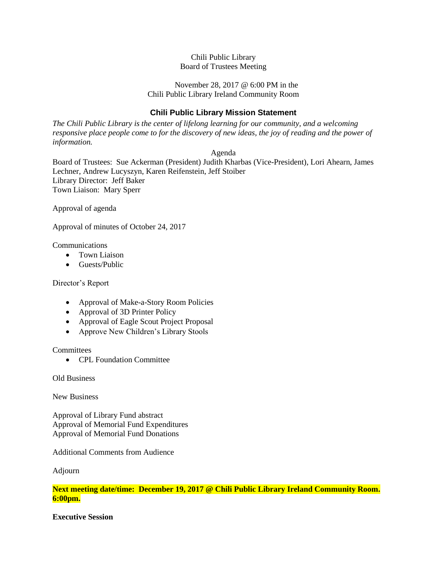#### November 28, 2017 @ 6:00 PM in the Chili Public Library Ireland Community Room

### **Chili Public Library Mission Statement**

*The Chili Public Library is the center of lifelong learning for our community, and a welcoming responsive place people come to for the discovery of new ideas, the joy of reading and the power of information.*

Agenda

Board of Trustees: Sue Ackerman (President) Judith Kharbas (Vice-President), Lori Ahearn, James Lechner, Andrew Lucyszyn, Karen Reifenstein, Jeff Stoiber Library Director: Jeff Baker Town Liaison: Mary Sperr

Approval of agenda

Approval of minutes of October 24, 2017

Communications

- Town Liaison
- **•** Guests/Public

Director's Report

- Approval of Make-a-Story Room Policies
- Approval of 3D Printer Policy
- Approval of Eagle Scout Project Proposal
- Approve New Children's Library Stools

**Committees** 

• CPL Foundation Committee

Old Business

New Business

Approval of Library Fund abstract Approval of Memorial Fund Expenditures Approval of Memorial Fund Donations

Additional Comments from Audience

Adjourn

**Next meeting date/time: December 19, 2017 @ Chili Public Library Ireland Community Room. 6:00pm.**